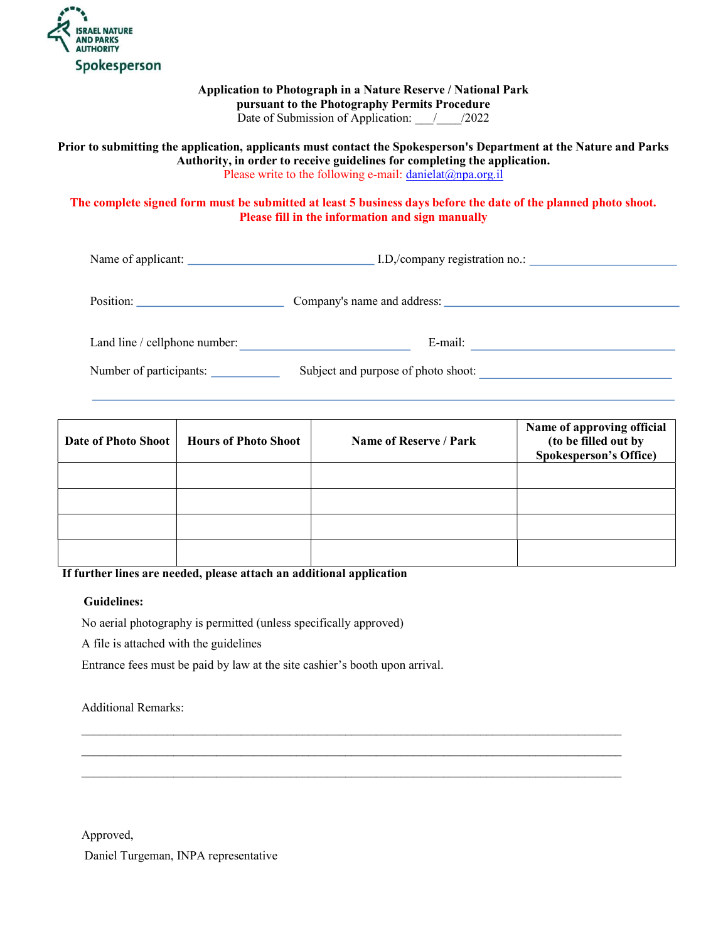

# Application to Photograph in a Nature Reserve / National Park pursuant to the Photography Permits Procedure

Date of Submission of Application:  $\frac{1}{2022}$ 

#### Prior to submitting the application, applicants must contact the Spokesperson's Department at the Nature and Parks Authority, in order to receive guidelines for completing the application. Please write to the following e-mail:  $danielat@npa.org.il$

# The complete signed form must be submitted at least 5 business days before the date of the planned photo shoot. Please fill in the information and sign manually

Name of applicant: I.D,/company registration no.:

| Position:                     | Company's name and address:         |  |  |
|-------------------------------|-------------------------------------|--|--|
| Land line / cellphone number: | E-mail:                             |  |  |
| Number of participants:       | Subject and purpose of photo shoot: |  |  |

| <b>Date of Photo Shoot</b> | <b>Hours of Photo Shoot</b> | Name of Reserve / Park | Name of approving official<br>(to be filled out by<br><b>Spokesperson's Office)</b> |
|----------------------------|-----------------------------|------------------------|-------------------------------------------------------------------------------------|
|                            |                             |                        |                                                                                     |
|                            |                             |                        |                                                                                     |
|                            |                             |                        |                                                                                     |
|                            |                             |                        |                                                                                     |

 $\mathcal{L}_\mathcal{L} = \mathcal{L}_\mathcal{L} = \mathcal{L}_\mathcal{L} = \mathcal{L}_\mathcal{L} = \mathcal{L}_\mathcal{L} = \mathcal{L}_\mathcal{L} = \mathcal{L}_\mathcal{L} = \mathcal{L}_\mathcal{L} = \mathcal{L}_\mathcal{L} = \mathcal{L}_\mathcal{L} = \mathcal{L}_\mathcal{L} = \mathcal{L}_\mathcal{L} = \mathcal{L}_\mathcal{L} = \mathcal{L}_\mathcal{L} = \mathcal{L}_\mathcal{L} = \mathcal{L}_\mathcal{L} = \mathcal{L}_\mathcal{L}$  $\mathcal{L}_\mathcal{L} = \mathcal{L}_\mathcal{L} = \mathcal{L}_\mathcal{L} = \mathcal{L}_\mathcal{L} = \mathcal{L}_\mathcal{L} = \mathcal{L}_\mathcal{L} = \mathcal{L}_\mathcal{L} = \mathcal{L}_\mathcal{L} = \mathcal{L}_\mathcal{L} = \mathcal{L}_\mathcal{L} = \mathcal{L}_\mathcal{L} = \mathcal{L}_\mathcal{L} = \mathcal{L}_\mathcal{L} = \mathcal{L}_\mathcal{L} = \mathcal{L}_\mathcal{L} = \mathcal{L}_\mathcal{L} = \mathcal{L}_\mathcal{L}$  $\mathcal{L}_\mathcal{L} = \mathcal{L}_\mathcal{L} = \mathcal{L}_\mathcal{L} = \mathcal{L}_\mathcal{L} = \mathcal{L}_\mathcal{L} = \mathcal{L}_\mathcal{L} = \mathcal{L}_\mathcal{L} = \mathcal{L}_\mathcal{L} = \mathcal{L}_\mathcal{L} = \mathcal{L}_\mathcal{L} = \mathcal{L}_\mathcal{L} = \mathcal{L}_\mathcal{L} = \mathcal{L}_\mathcal{L} = \mathcal{L}_\mathcal{L} = \mathcal{L}_\mathcal{L} = \mathcal{L}_\mathcal{L} = \mathcal{L}_\mathcal{L}$ 

#### If further lines are needed, please attach an additional application

#### Guidelines:

No aerial photography is permitted (unless specifically approved)

A file is attached with the guidelines

Entrance fees must be paid by law at the site cashier's booth upon arrival.

# Additional Remarks:

Approved,

Daniel Turgeman, INPA representative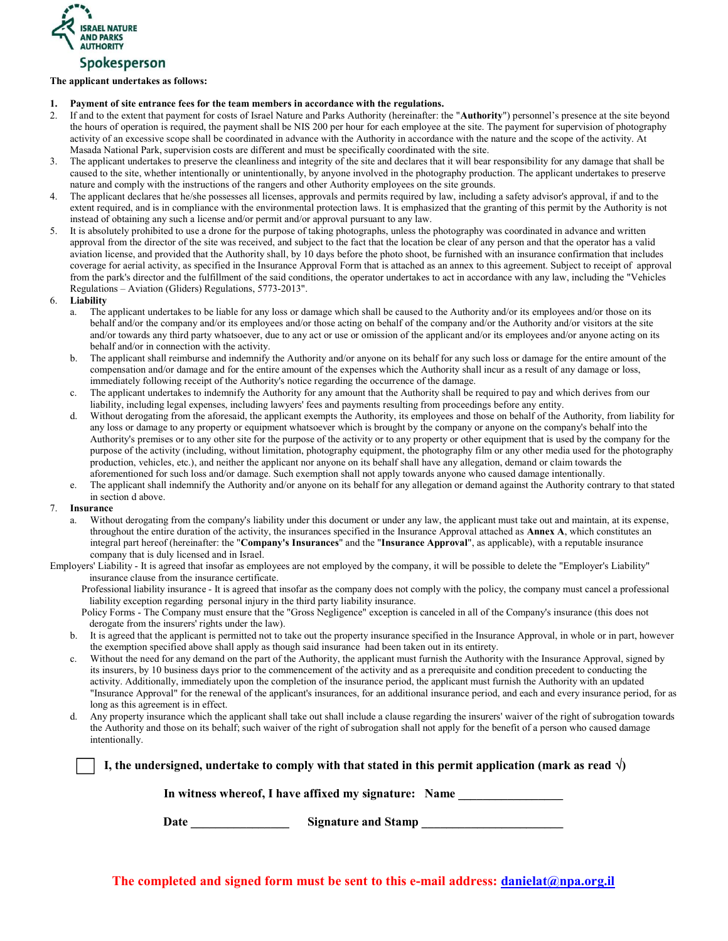

# The applicant undertakes as follows:

- 1. Payment of site entrance fees for the team members in accordance with the regulations.
- 2. If and to the extent that payment for costs of Israel Nature and Parks Authority (hereinafter: the "Authority") personnel's presence at the site beyond the hours of operation is required, the payment shall be NIS 200 per hour for each employee at the site. The payment for supervision of photography activity of an excessive scope shall be coordinated in advance with the Authority in accordance with the nature and the scope of the activity. At Masada National Park, supervision costs are different and must be specifically coordinated with the site.
- 3. The applicant undertakes to preserve the cleanliness and integrity of the site and declares that it will bear responsibility for any damage that shall be caused to the site, whether intentionally or unintentionally, by anyone involved in the photography production. The applicant undertakes to preserve nature and comply with the instructions of the rangers and other Authority employees on the site grounds.
- 4. The applicant declares that he/she possesses all licenses, approvals and permits required by law, including a safety advisor's approval, if and to the extent required, and is in compliance with the environmental protection laws. It is emphasized that the granting of this permit by the Authority is not instead of obtaining any such a license and/or permit and/or approval pursuant to any law.
- 5. It is absolutely prohibited to use a drone for the purpose of taking photographs, unless the photography was coordinated in advance and written approval from the director of the site was received, and subject to the fact that the location be clear of any person and that the operator has a valid aviation license, and provided that the Authority shall, by 10 days before the photo shoot, be furnished with an insurance confirmation that includes coverage for aerial activity, as specified in the Insurance Approval Form that is attached as an annex to this agreement. Subject to receipt of approval from the park's director and the fulfillment of the said conditions, the operator undertakes to act in accordance with any law, including the "Vehicles Regulations – Aviation (Gliders) Regulations, 5773-2013".
- 6. Liability
	- a. The applicant undertakes to be liable for any loss or damage which shall be caused to the Authority and/or its employees and/or those on its behalf and/or the company and/or its employees and/or those acting on behalf of the company and/or the Authority and/or visitors at the site and/or towards any third party whatsoever, due to any act or use or omission of the applicant and/or its employees and/or anyone acting on its behalf and/or in connection with the activity.
	- b. The applicant shall reimburse and indemnify the Authority and/or anyone on its behalf for any such loss or damage for the entire amount of the compensation and/or damage and for the entire amount of the expenses which the Authority shall incur as a result of any damage or loss, immediately following receipt of the Authority's notice regarding the occurrence of the damage.
	- c. The applicant undertakes to indemnify the Authority for any amount that the Authority shall be required to pay and which derives from our liability, including legal expenses, including lawyers' fees and payments resulting from proceedings before any entity.
	- d. Without derogating from the aforesaid, the applicant exempts the Authority, its employees and those on behalf of the Authority, from liability for any loss or damage to any property or equipment whatsoever which is brought by the company or anyone on the company's behalf into the Authority's premises or to any other site for the purpose of the activity or to any property or other equipment that is used by the company for the purpose of the activity (including, without limitation, photography equipment, the photography film or any other media used for the photography production, vehicles, etc.), and neither the applicant nor anyone on its behalf shall have any allegation, demand or claim towards the aforementioned for such loss and/or damage. Such exemption shall not apply towards anyone who caused damage intentionally.
	- e. The applicant shall indemnify the Authority and/or anyone on its behalf for any allegation or demand against the Authority contrary to that stated in section d above.
- 7. Insurance
	- a. Without derogating from the company's liability under this document or under any law, the applicant must take out and maintain, at its expense, throughout the entire duration of the activity, the insurances specified in the Insurance Approval attached as Annex A, which constitutes an integral part hereof (hereinafter: the "Company's Insurances" and the "Insurance Approval", as applicable), with a reputable insurance company that is duly licensed and in Israel.
- Employers' Liability It is agreed that insofar as employees are not employed by the company, it will be possible to delete the "Employer's Liability" insurance clause from the insurance certificate.

Professional liability insurance - It is agreed that insofar as the company does not comply with the policy, the company must cancel a professional liability exception regarding personal injury in the third party liability insurance.

- Policy Forms The Company must ensure that the "Gross Negligence" exception is canceled in all of the Company's insurance (this does not derogate from the insurers' rights under the law).
- b. It is agreed that the applicant is permitted not to take out the property insurance specified in the Insurance Approval, in whole or in part, however the exemption specified above shall apply as though said insurance had been taken out in its entirety.
- c. Without the need for any demand on the part of the Authority, the applicant must furnish the Authority with the Insurance Approval, signed by its insurers, by 10 business days prior to the commencement of the activity and as a prerequisite and condition precedent to conducting the activity. Additionally, immediately upon the completion of the insurance period, the applicant must furnish the Authority with an updated "Insurance Approval" for the renewal of the applicant's insurances, for an additional insurance period, and each and every insurance period, for as long as this agreement is in effect.
- d. Any property insurance which the applicant shall take out shall include a clause regarding the insurers' waiver of the right of subrogation towards the Authority and those on its behalf; such waiver of the right of subrogation shall not apply for the benefit of a person who caused damage intentionally.

I, the undersigned, undertake to comply with that stated in this permit application (mark as read  $\sqrt{ }$ )

In witness whereof, I have affixed my signature: Name

Date \_\_\_\_\_\_\_\_\_\_\_\_\_\_\_\_\_\_\_\_\_\_\_\_\_Signature and Stamp \_\_\_\_\_\_\_\_\_\_\_\_\_\_\_\_\_\_\_\_\_\_\_\_\_\_\_\_\_\_

The completed and signed form must be sent to this e-mail address: danielat@npa.org.il